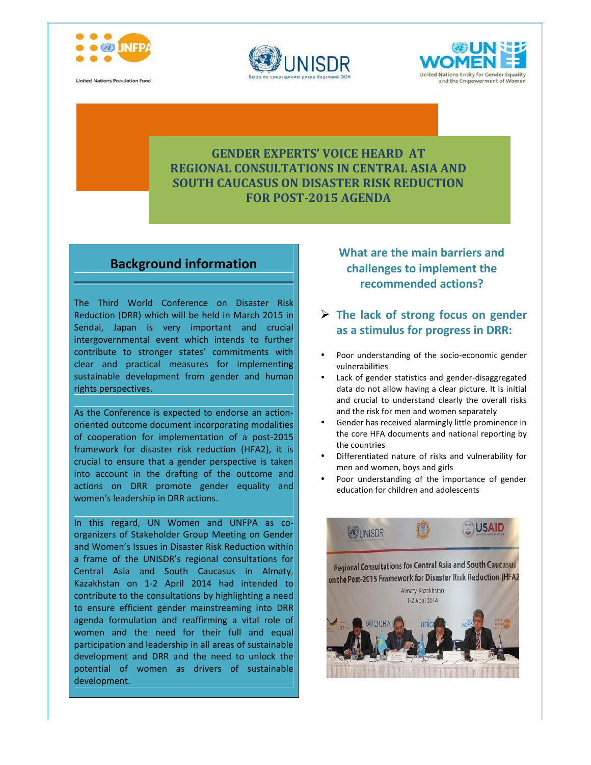

**United Nations Population Fund** 





## **GENDER EXPERTS' VOICE HEARD AT REGIONAL CONSULTATIONS IN CENTRAL ASIA AND SOUTH CAUCASUS ON DISASTER RISK REDUCTION FOR POST-2015 AGENDA**

## **Background information**

The Third World Conference on Disaster Risk Reduction (DRR) which will be held in March 2015 in Sendai, Japan is very important and crucial intergovernmental event which intends to further contribute to stronger states' commitments with clear and practical measures for implementing sustainable development from gender and human rights perspectives.

As the Conference is expected to endorse an action oriented outcome document incorporating modalities of cooperation for implementation of a post-2015 framework for disaster risk reduction (HFA2), it is crucial to ensure that a gender perspective is taken into account in the drafting of the outcome and actions on DRR promote gender equality and women's leadership in DRR actions.

In this regard, UN Women and UNFPA as co organizers of Stakeholder Group Meeting on Gender and Women's Issues in Disaster Risk Reduction within a frame of the UNISDR's regional consultations for Central Asia and South Caucasus in Almaty, Kazakhstan on 1-2 April 2014 had intended to on the Post-2015 Framework for Disaster Risk Reduction (HFA2 contribute to the consultations by highlighting a need to ensure efficient gender mainstreaming into DRR agenda formulation and reaffirming a vital role of women and the need for their full and equal participation and leadership in all areas of sustainable development and DRR and the need to unlock the potential of women as drivers of sustainable development.

**What are the main barriers and challenges to implement the recommended actions?**

- **The lack of strong focus on gender as a stimulus for progress in DRR:**
- Poor understanding of the socio-economic gender vulnerabilities
- Lack of gender statistics and gender-disaggregated data do not allow having a clear picture. It is initial and crucial to understand clearly the overall risks and the risk for men and women separately
- Gender has received alarmingly little prominence in the core HFA documents and national reporting by the countries
- Differentiated nature of risks and vulnerability for men and women, boys and girls
- Poor understanding of the importance of gender education for children and adolescents

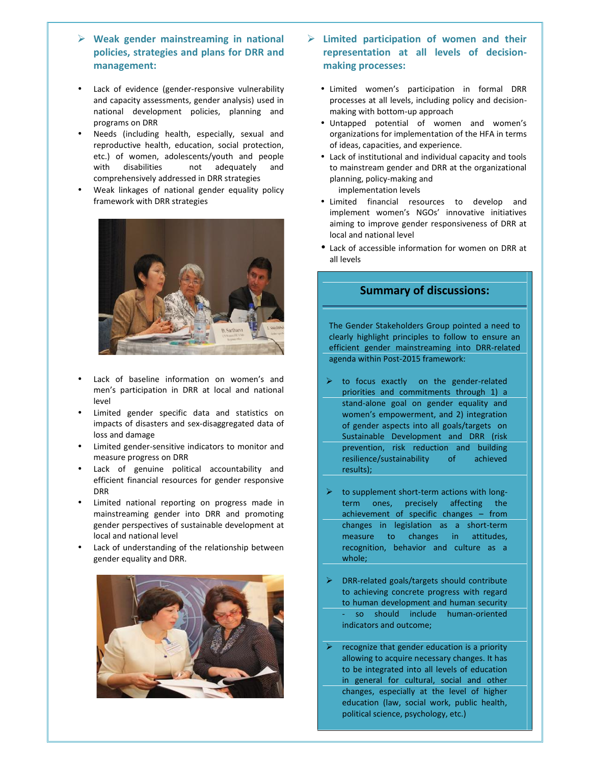- **Weak gender mainstreaming in national policies, strategies and plans for DRR and management:**
- Lack of evidence (gender-responsive vulnerability and capacity assessments, gender analysis) used in national development policies, planning and programs on DRR
- Needs (including health, especially, sexual and reproductive health, education, social protection, etc.) of women, adolescents/youth and people with disabilities not adequately and comprehensively addressed in DRR strategies
- Weak linkages of national gender equality policy framework with DRR strategies



- Lack of baseline information on women's and men's participation in DRR at local and national level
- Limited gender specific data and statistics on impacts of disasters and sex-disaggregated data of loss and damage
- Limited gender-sensitive indicators to monitor and measure progress on DRR
- Lack of genuine political accountability and efficient financial resources for gender responsive DRR
- Limited national reporting on progress made in mainstreaming gender into DRR and promoting gender perspectives of sustainable development at local and national level
- Lack of understanding of the relationship between gender equality and DRR.



- **Limited participation of women and their representation at all levels of decision making processes:**
	- Limited women's participation in formal DRR processes at all levels, including policy and decision making with bottom-up approach
	- Untapped potential of women and women's organizations for implementation of the HFA in terms of ideas, capacities, and experience.
	- Lack of institutional and individual capacity and tools to mainstream gender and DRR at the organizational planning, policy-making and implementation levels
	- Limited financial resources to develop and implement women's NGOs' innovative initiatives aiming to improve gender responsiveness of DRR at local and national level
	- Lack of accessible information for women on DRR at all levels

## **Summary of discussions:**

The Gender Stakeholders Group pointed a need to clearly highlight principles to follow to ensure an efficient gender mainstreaming into DRR-related agenda within Post-2015 framework:

- to focus exactly on the gender-related priorities and commitments through 1) a stand-alone goal on gender equality and women's empowerment, and 2) integration of gender aspects into all goals/targets on Sustainable Development and DRR (risk prevention, risk reduction and building resilience/sustainability of achieved results);
- to supplement short-term actions with long term ones, precisely affecting the achievement of specific changes – from changes in legislation as a short-term measure to changes in attitudes, recognition, behavior and culture as a whole;
- DRR-related goals/targets should contribute to achieving concrete progress with regard to human development and human security - so should include human-oriented indicators and outcome;
- recognize that gender education is a priority allowing to acquire necessary changes. It has to be integrated into all levels of education in general for cultural, social and other changes, especially at the level of higher education (law, social work, public health, political science, psychology, etc.)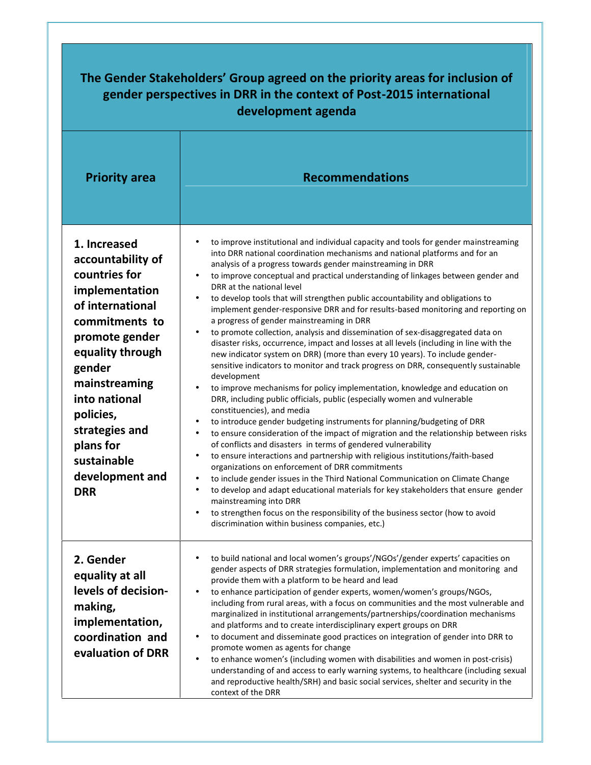| development agenda                                                                                                                                                                                                                                                                       |                                                                                                                                                                                                                                                                                                                                                                                                                                                                                                                                                                                                                                                                                                                                                                                                                                                                                                                                                                                                                                                                                                                                                                                                                                                                                                                                                                                                                                                                                                                                                                                                                                                                                                                                                                                                                                                                                          |  |  |
|------------------------------------------------------------------------------------------------------------------------------------------------------------------------------------------------------------------------------------------------------------------------------------------|------------------------------------------------------------------------------------------------------------------------------------------------------------------------------------------------------------------------------------------------------------------------------------------------------------------------------------------------------------------------------------------------------------------------------------------------------------------------------------------------------------------------------------------------------------------------------------------------------------------------------------------------------------------------------------------------------------------------------------------------------------------------------------------------------------------------------------------------------------------------------------------------------------------------------------------------------------------------------------------------------------------------------------------------------------------------------------------------------------------------------------------------------------------------------------------------------------------------------------------------------------------------------------------------------------------------------------------------------------------------------------------------------------------------------------------------------------------------------------------------------------------------------------------------------------------------------------------------------------------------------------------------------------------------------------------------------------------------------------------------------------------------------------------------------------------------------------------------------------------------------------------|--|--|
| <b>Priority area</b>                                                                                                                                                                                                                                                                     | <b>Recommendations</b>                                                                                                                                                                                                                                                                                                                                                                                                                                                                                                                                                                                                                                                                                                                                                                                                                                                                                                                                                                                                                                                                                                                                                                                                                                                                                                                                                                                                                                                                                                                                                                                                                                                                                                                                                                                                                                                                   |  |  |
| 1. Increased<br>accountability of<br>countries for<br>implementation<br>of international<br>commitments to<br>promote gender<br>equality through<br>gender<br>mainstreaming<br>into national<br>policies,<br>strategies and<br>plans for<br>sustainable<br>development and<br><b>DRR</b> | to improve institutional and individual capacity and tools for gender mainstreaming<br>into DRR national coordination mechanisms and national platforms and for an<br>analysis of a progress towards gender mainstreaming in DRR<br>to improve conceptual and practical understanding of linkages between gender and<br>DRR at the national level<br>to develop tools that will strengthen public accountability and obligations to<br>implement gender-responsive DRR and for results-based monitoring and reporting on<br>a progress of gender mainstreaming in DRR<br>to promote collection, analysis and dissemination of sex-disaggregated data on<br>disaster risks, occurrence, impact and losses at all levels (including in line with the<br>new indicator system on DRR) (more than every 10 years). To include gender-<br>sensitive indicators to monitor and track progress on DRR, consequently sustainable<br>development<br>to improve mechanisms for policy implementation, knowledge and education on<br>$\bullet$<br>DRR, including public officials, public (especially women and vulnerable<br>constituencies), and media<br>to introduce gender budgeting instruments for planning/budgeting of DRR<br>$\bullet$<br>to ensure consideration of the impact of migration and the relationship between risks<br>$\bullet$<br>of conflicts and disasters in terms of gendered vulnerability<br>to ensure interactions and partnership with religious institutions/faith-based<br>organizations on enforcement of DRR commitments<br>to include gender issues in the Third National Communication on Climate Change<br>to develop and adapt educational materials for key stakeholders that ensure gender<br>mainstreaming into DRR<br>to strengthen focus on the responsibility of the business sector (how to avoid<br>discrimination within business companies, etc.) |  |  |
| 2. Gender<br>equality at all<br>levels of decision-<br>making,<br>implementation,<br>coordination and<br>evaluation of DRR                                                                                                                                                               | to build national and local women's groups'/NGOs'/gender experts' capacities on<br>٠<br>gender aspects of DRR strategies formulation, implementation and monitoring and<br>provide them with a platform to be heard and lead<br>to enhance participation of gender experts, women/women's groups/NGOs,<br>$\bullet$<br>including from rural areas, with a focus on communities and the most vulnerable and<br>marginalized in institutional arrangements/partnerships/coordination mechanisms<br>and platforms and to create interdisciplinary expert groups on DRR<br>to document and disseminate good practices on integration of gender into DRR to<br>$\bullet$<br>promote women as agents for change<br>to enhance women's (including women with disabilities and women in post-crisis)<br>$\bullet$<br>understanding of and access to early warning systems, to healthcare (including sexual<br>and reproductive health/SRH) and basic social services, shelter and security in the<br>context of the DRR                                                                                                                                                                                                                                                                                                                                                                                                                                                                                                                                                                                                                                                                                                                                                                                                                                                                          |  |  |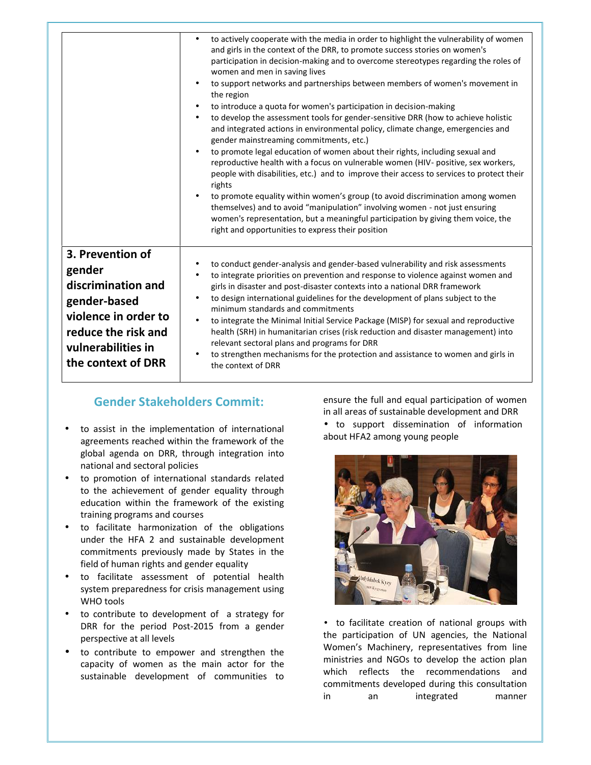|                                                                                                                                                             | to actively cooperate with the media in order to highlight the vulnerability of women<br>$\bullet$<br>and girls in the context of the DRR, to promote success stories on women's<br>participation in decision-making and to overcome stereotypes regarding the roles of<br>women and men in saving lives<br>to support networks and partnerships between members of women's movement in<br>$\bullet$<br>the region<br>to introduce a quota for women's participation in decision-making<br>$\bullet$<br>to develop the assessment tools for gender-sensitive DRR (how to achieve holistic<br>$\bullet$<br>and integrated actions in environmental policy, climate change, emergencies and<br>gender mainstreaming commitments, etc.)<br>to promote legal education of women about their rights, including sexual and<br>$\bullet$<br>reproductive health with a focus on vulnerable women (HIV- positive, sex workers,<br>people with disabilities, etc.) and to improve their access to services to protect their<br>rights<br>to promote equality within women's group (to avoid discrimination among women<br>$\bullet$<br>themselves) and to avoid "manipulation" involving women - not just ensuring<br>women's representation, but a meaningful participation by giving them voice, the<br>right and opportunities to express their position |
|-------------------------------------------------------------------------------------------------------------------------------------------------------------|----------------------------------------------------------------------------------------------------------------------------------------------------------------------------------------------------------------------------------------------------------------------------------------------------------------------------------------------------------------------------------------------------------------------------------------------------------------------------------------------------------------------------------------------------------------------------------------------------------------------------------------------------------------------------------------------------------------------------------------------------------------------------------------------------------------------------------------------------------------------------------------------------------------------------------------------------------------------------------------------------------------------------------------------------------------------------------------------------------------------------------------------------------------------------------------------------------------------------------------------------------------------------------------------------------------------------------------------------|
| 3. Prevention of<br>gender<br>discrimination and<br>gender-based<br>violence in order to<br>reduce the risk and<br>vulnerabilities in<br>the context of DRR | to conduct gender-analysis and gender-based vulnerability and risk assessments<br>$\bullet$<br>to integrate priorities on prevention and response to violence against women and<br>$\bullet$<br>girls in disaster and post-disaster contexts into a national DRR framework<br>to design international guidelines for the development of plans subject to the<br>$\bullet$<br>minimum standards and commitments<br>to integrate the Minimal Initial Service Package (MISP) for sexual and reproductive<br>$\bullet$<br>health (SRH) in humanitarian crises (risk reduction and disaster management) into<br>relevant sectoral plans and programs for DRR<br>to strengthen mechanisms for the protection and assistance to women and girls in<br>$\bullet$<br>the context of DRR                                                                                                                                                                                                                                                                                                                                                                                                                                                                                                                                                                     |

## **Gender Stakeholders Commit:**

- to assist in the implementation of international agreements reached within the framework of the global agenda on DRR, through integration into national and sectoral policies
- to promotion of international standards related to the achievement of gender equality through education within the framework of the existing training programs and courses
- to facilitate harmonization of the obligations under the HFA 2 and sustainable development commitments previously made by States in the field of human rights and gender equality
- to facilitate assessment of potential health system preparedness for crisis management using WHO tools
- to contribute to development of a strategy for DRR for the period Post-2015 from a gender perspective at all levels
- to contribute to empower and strengthen the capacity of women as the main actor for the sustainable development of communities to

ensure the full and equal participation of women in all areas of sustainable development and DRR

 to support dissemination of information about HFA2 among young people



 to facilitate creation of national groups with the participation of UN agencies, the National Women's Machinery, representatives from line ministries and NGOs to develop the action plan which reflects the recommendations and commitments developed during this consultation in an integrated manner